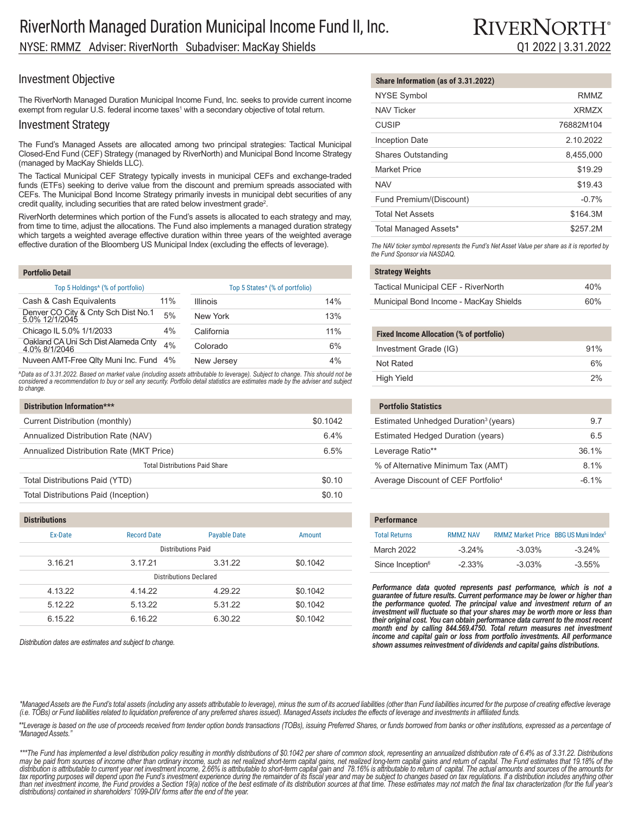## Investment Objective

The RiverNorth Managed Duration Municipal Income Fund, Inc. seeks to provide current income exempt from regular U.S. federal income taxes $^1$  with a secondary objective of total return.

## Investment Strategy

The Fund's Managed Assets are allocated among two principal strategies: Tactical Municipal Closed-End Fund (CEF) Strategy (managed by RiverNorth) and Municipal Bond Income Strategy (managed by MacKay Shields LLC).

The Tactical Municipal CEF Strategy typically invests in municipal CEFs and exchange-traded funds (ETFs) seeking to derive value from the discount and premium spreads associated with CEFs. The Municipal Bond Income Strategy primarily invests in municipal debt securities of any credit quality, including securities that are rated below investment grade<sup>2</sup>.

RiverNorth determines which portion of the Fund's assets is allocated to each strategy and may, from time to time, adjust the allocations. The Fund also implements a managed duration strategy which targets a weighted average effective duration within three years of the weighted average effective duration of the Bloomberg US Municipal Index (excluding the effects of leverage).

| <b>Portfolio Detail</b>                               |     |                                            |     |
|-------------------------------------------------------|-----|--------------------------------------------|-----|
| Top 5 Holdings <sup>4</sup> (% of portfolio)          |     | Top 5 States <sup>^</sup> (% of portfolio) |     |
| Cash & Cash Equivalents                               | 11% | <b>Illinois</b>                            | 14% |
| Denver CO City & Cnty Sch Dist No.1<br>5.0% 12/1/2045 | 5%  | New York                                   | 13% |
| Chicago IL 5.0% 1/1/2033                              | 4%  | California                                 | 11% |
| Oakland CA Uni Sch Dist Alameda Cnty<br>4.0% 8/1/2046 | 4%  | Colorado                                   | 6%  |
| Nuveen AMT-Free Qlty Muni Inc. Fund 4%                |     | New Jersey                                 | 4%  |

^Data as of 3.31.2022. Based on market value (including assets attributable to leverage). Subject to change. This should not be<br>considered a recommendation to buy or sell any security. Portfolio detail statistics are estim *to change.*

| Distribution Information***              |          |  |
|------------------------------------------|----------|--|
| Current Distribution (monthly)           | \$0.1042 |  |
| Annualized Distribution Rate (NAV)       | 6.4%     |  |
| Annualized Distribution Rate (MKT Price) | 6.5%     |  |
| <b>Total Distributions Paid Share</b>    |          |  |
| Total Distributions Paid (YTD)           | \$0.10   |  |
| Total Distributions Paid (Inception)     | \$0.10   |  |

| <b>DISTRIBUTIONS</b>   |                    |                     |          |  |
|------------------------|--------------------|---------------------|----------|--|
| Ex-Date                | <b>Record Date</b> | <b>Payable Date</b> | Amount   |  |
| Distributions Paid     |                    |                     |          |  |
| 3.16.21                | 3.17.21            | 3.31.22             | \$0.1042 |  |
| Distributions Declared |                    |                     |          |  |
| 4.13.22                | 4.14.22            | 4.29.22             | \$0.1042 |  |
| 5.12.22                | 5.13.22            | 5.31.22             | \$0.1042 |  |
| 6.15.22                | 6.16.22            | 6.30.22             | \$0.1042 |  |

*Distribution dates are estimates and subject to change.*

**Distributions**

### **Share Information (as of 3.31.2022)**

| <b>NYSE Symbol</b>        | RMM7      |
|---------------------------|-----------|
| <b>NAV Ticker</b>         | XRM7X     |
| <b>CUSIP</b>              | 76882M104 |
| <b>Inception Date</b>     | 2.10.2022 |
| <b>Shares Outstanding</b> | 8,455,000 |
| <b>Market Price</b>       | \$19.29   |
| <b>NAV</b>                | \$19.43   |
| Fund Premium/(Discount)   | $-0.7%$   |
| <b>Total Net Assets</b>   | \$164.3M  |
| Total Managed Assets*     | \$257.2M  |

*The NAV ticker symbol represents the Fund's Net Asset Value per share as it is reported by the Fund Sponsor via NASDAQ.*

#### **Strategy Weights**

| Tactical Municipal CEF - RiverNorth    | 40% |
|----------------------------------------|-----|
| Municipal Bond Income - MacKay Shields | 60% |

#### **Fixed Income Allocation (% of portfolio)**

|                       | 91% |
|-----------------------|-----|
| Investment Grade (IG) |     |
| Not Rated             | 6%  |
| High Yield            | 2%  |

| <b>Portfolio Statistics</b>                      |          |
|--------------------------------------------------|----------|
| Estimated Unhedged Duration <sup>3</sup> (years) | 97       |
| Estimated Hedged Duration (years)                | 65       |
| Leverage Ratio**                                 | 36 1%    |
| % of Alternative Minimum Tax (AMT)               | $81\%$   |
| Average Discount of CEF Portfolio <sup>4</sup>   | $-6.1\%$ |

| <b>Performance</b>           |                 |                                                  |           |
|------------------------------|-----------------|--------------------------------------------------|-----------|
| <b>Total Returns</b>         | <b>RMM7 NAV</b> | RMMZ Market Price BBG US Muni Index <sup>5</sup> |           |
| March 2022                   | $-3.24\%$       | $-3.03%$                                         | $-3.24\%$ |
| Since Inception <sup>6</sup> | $-2.33%$        | $-3.03%$                                         | $-3.55%$  |

Performance data quoted represents past performance, which is not a *guarantee of future results. Current performance may be lower or higher than the performance quoted. The principal value and investment return of an investment will fluctuate so that your shares may be worth more or less than their original cost. You can obtain performance data current to the most recent*  month end by calling 844.569.4750. Total return measures net investment *income and capital gain or loss from portfolio investments. All performance shown assumes reinvestment of dividends and capital gains distributions.*

\*Managed Assets are the Fund's total assets (including any assets attributable to leverage), minus the sum of its accrued liabilities (other than Fund liabilities incurred for the purpose of creating effective leverage *(i.e. TOBs) or Fund liabilities related to liquidation preference of any preferred shares issued). Managed Assets includes the effects of leverage and investments in affiliated funds.*

\*\*Leverage is based on the use of proceeds received from tender option bonds transactions (TOBs), issuing Preferred Shares, or funds borrowed from banks or other institutions, expressed as a percentage of *"Managed Assets."*

\*\*\*The Fund has implemented a level distribution policy resulting in monthly distributions of \$0.1042 per share of common stock, representing an annualized distribution rate of 6.4% as of 3.31.22. Distributions<br>may be paid tax reporting purposes will depend upon the Fund's investment experience during the remainder of its fiscal year and may be subject to changes based on tax regulations. If a distribution includes anything other *than net investment income, the Fund provides a Section 19(a) notice of the best estimate of its distribution sources at that time. These estimates may not match the final tax characterization (for the full year's distributions) contained in shareholders' 1099-DIV forms after the end of the year.*